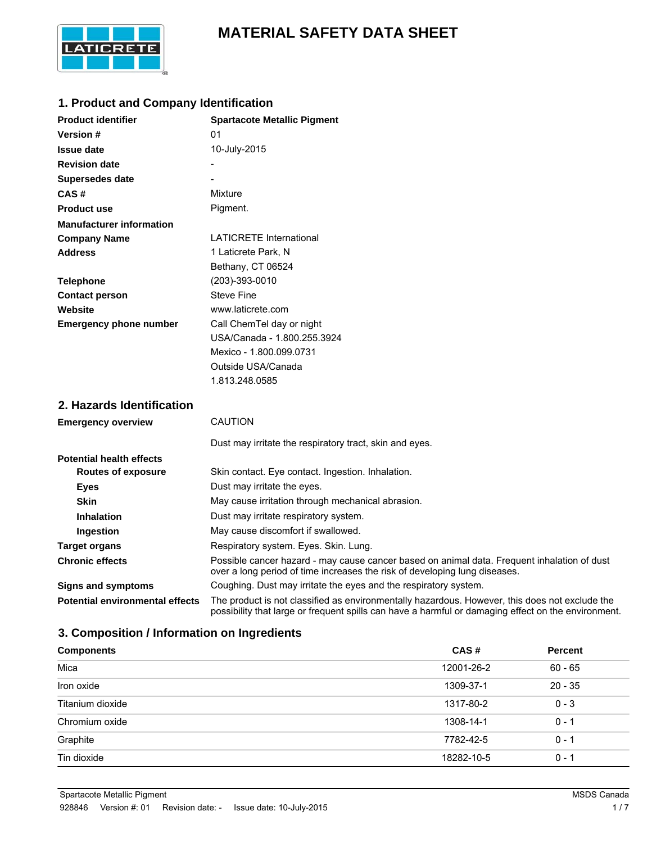# **MATERIAL SAFETY DATA SHEET**



## **1. Product and Company Identification**

| <b>Product identifier</b>       | <b>Spartacote Metallic Pigment</b> |
|---------------------------------|------------------------------------|
| <b>Version</b> #                | 01                                 |
| Issue date                      | 10-July-2015                       |
| <b>Revision date</b>            |                                    |
| Supersedes date                 |                                    |
| CAS#                            | Mixture                            |
| <b>Product use</b>              | Pigment.                           |
| <b>Manufacturer information</b> |                                    |
| <b>Company Name</b>             | <b>LATICRETE International</b>     |
| <b>Address</b>                  | 1 Laticrete Park, N                |
|                                 | Bethany, CT 06524                  |
| <b>Telephone</b>                | (203)-393-0010                     |
| <b>Contact person</b>           | <b>Steve Fine</b>                  |
| Website                         | www.laticrete.com                  |
| <b>Emergency phone number</b>   | Call ChemTel day or night          |
|                                 | USA/Canada - 1.800.255.3924        |
|                                 | Mexico - 1.800.099.0731            |
|                                 | Outside USA/Canada                 |
|                                 | 1.813.248.0585                     |

# **2. Hazards Identification**

| <b>Emergency overview</b>              | <b>CAUTION</b>                                                                                                                                                                                        |
|----------------------------------------|-------------------------------------------------------------------------------------------------------------------------------------------------------------------------------------------------------|
|                                        | Dust may irritate the respiratory tract, skin and eyes.                                                                                                                                               |
| <b>Potential health effects</b>        |                                                                                                                                                                                                       |
| <b>Routes of exposure</b>              | Skin contact. Eye contact. Ingestion. Inhalation.                                                                                                                                                     |
| <b>Eyes</b>                            | Dust may irritate the eyes.                                                                                                                                                                           |
| <b>Skin</b>                            | May cause irritation through mechanical abrasion.                                                                                                                                                     |
| <b>Inhalation</b>                      | Dust may irritate respiratory system.                                                                                                                                                                 |
| Ingestion                              | May cause discomfort if swallowed.                                                                                                                                                                    |
| <b>Target organs</b>                   | Respiratory system. Eyes. Skin. Lung.                                                                                                                                                                 |
| <b>Chronic effects</b>                 | Possible cancer hazard - may cause cancer based on animal data. Frequent inhalation of dust<br>over a long period of time increases the risk of developing lung diseases.                             |
| <b>Signs and symptoms</b>              | Coughing. Dust may irritate the eyes and the respiratory system.                                                                                                                                      |
| <b>Potential environmental effects</b> | The product is not classified as environmentally hazardous. However, this does not exclude the<br>possibility that large or frequent spills can have a harmful or damaging effect on the environment. |

# **3. Composition / Information on Ingredients**

| <b>Components</b> | CAS#       | <b>Percent</b> |
|-------------------|------------|----------------|
| Mica              | 12001-26-2 | $60 - 65$      |
| Iron oxide        | 1309-37-1  | $20 - 35$      |
| Titanium dioxide  | 1317-80-2  | $0 - 3$        |
| Chromium oxide    | 1308-14-1  | $0 - 1$        |
| Graphite          | 7782-42-5  | $0 - 1$        |
| Tin dioxide       | 18282-10-5 | $0 - 1$        |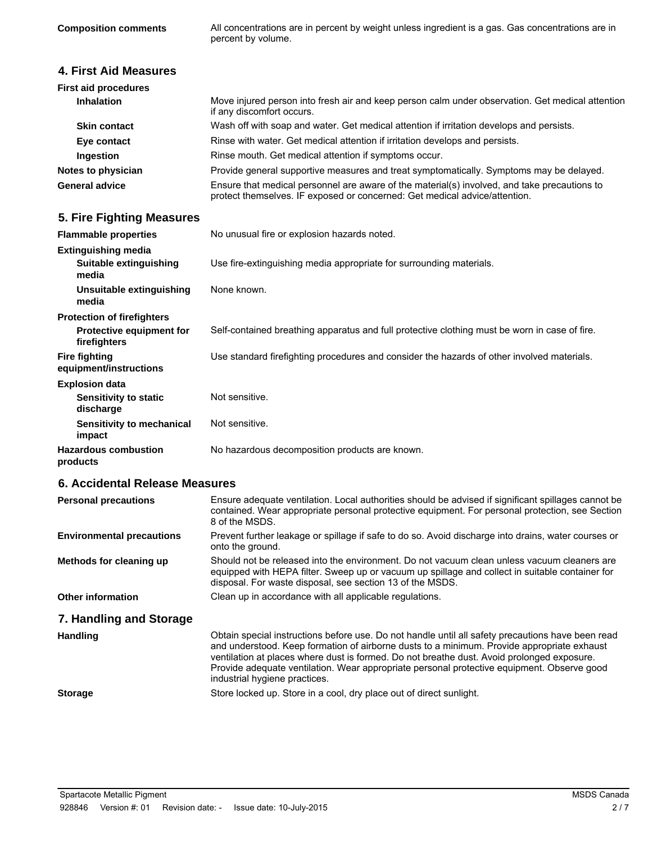All concentrations are in percent by weight unless ingredient is a gas. Gas concentrations are in percent by volume.

### **4. First Aid Measures**

| <b>First aid procedures</b> |                                                                                                                                                                            |
|-----------------------------|----------------------------------------------------------------------------------------------------------------------------------------------------------------------------|
| <b>Inhalation</b>           | Move injured person into fresh air and keep person calm under observation. Get medical attention<br>if any discomfort occurs.                                              |
| <b>Skin contact</b>         | Wash off with soap and water. Get medical attention if irritation develops and persists.                                                                                   |
| Eye contact                 | Rinse with water. Get medical attention if irritation develops and persists.                                                                                               |
| Ingestion                   | Rinse mouth. Get medical attention if symptoms occur.                                                                                                                      |
| Notes to physician          | Provide general supportive measures and treat symptomatically. Symptoms may be delayed.                                                                                    |
| <b>General advice</b>       | Ensure that medical personnel are aware of the material(s) involved, and take precautions to<br>protect themselves. IF exposed or concerned: Get medical advice/attention. |

# **5. Fire Fighting Measures**

| <b>Flammable properties</b>                                   | No unusual fire or explosion hazards noted.                                                   |
|---------------------------------------------------------------|-----------------------------------------------------------------------------------------------|
| <b>Extinguishing media</b><br>Suitable extinguishing<br>media | Use fire-extinguishing media appropriate for surrounding materials.                           |
| Unsuitable extinguishing<br>media                             | None known.                                                                                   |
| <b>Protection of firefighters</b>                             |                                                                                               |
| <b>Protective equipment for</b><br>firefighters               | Self-contained breathing apparatus and full protective clothing must be worn in case of fire. |
| <b>Fire fighting</b><br>equipment/instructions                | Use standard firefighting procedures and consider the hazards of other involved materials.    |
| <b>Explosion data</b>                                         |                                                                                               |
| <b>Sensitivity to static</b><br>discharge                     | Not sensitive.                                                                                |
| Sensitivity to mechanical<br>impact                           | Not sensitive.                                                                                |
| <b>Hazardous combustion</b><br>products                       | No hazardous decomposition products are known.                                                |

# **6. Accidental Release Measures**

| <b>Personal precautions</b>      | Ensure adequate ventilation. Local authorities should be advised if significant spillages cannot be<br>contained. Wear appropriate personal protective equipment. For personal protection, see Section<br>8 of the MSDS.                                                                                                                                                                                                     |
|----------------------------------|------------------------------------------------------------------------------------------------------------------------------------------------------------------------------------------------------------------------------------------------------------------------------------------------------------------------------------------------------------------------------------------------------------------------------|
| <b>Environmental precautions</b> | Prevent further leakage or spillage if safe to do so. Avoid discharge into drains, water courses or<br>onto the ground.                                                                                                                                                                                                                                                                                                      |
| Methods for cleaning up          | Should not be released into the environment. Do not vacuum clean unless vacuum cleaners are<br>equipped with HEPA filter. Sweep up or vacuum up spillage and collect in suitable container for<br>disposal. For waste disposal, see section 13 of the MSDS.                                                                                                                                                                  |
| <b>Other information</b>         | Clean up in accordance with all applicable regulations.                                                                                                                                                                                                                                                                                                                                                                      |
| 7. Handling and Storage          |                                                                                                                                                                                                                                                                                                                                                                                                                              |
| <b>Handling</b>                  | Obtain special instructions before use. Do not handle until all safety precautions have been read<br>and understood. Keep formation of airborne dusts to a minimum. Provide appropriate exhaust<br>ventilation at places where dust is formed. Do not breathe dust. Avoid prolonged exposure.<br>Provide adequate ventilation. Wear appropriate personal protective equipment. Observe good<br>industrial hygiene practices. |
| <b>Storage</b>                   | Store locked up. Store in a cool, dry place out of direct sunlight.                                                                                                                                                                                                                                                                                                                                                          |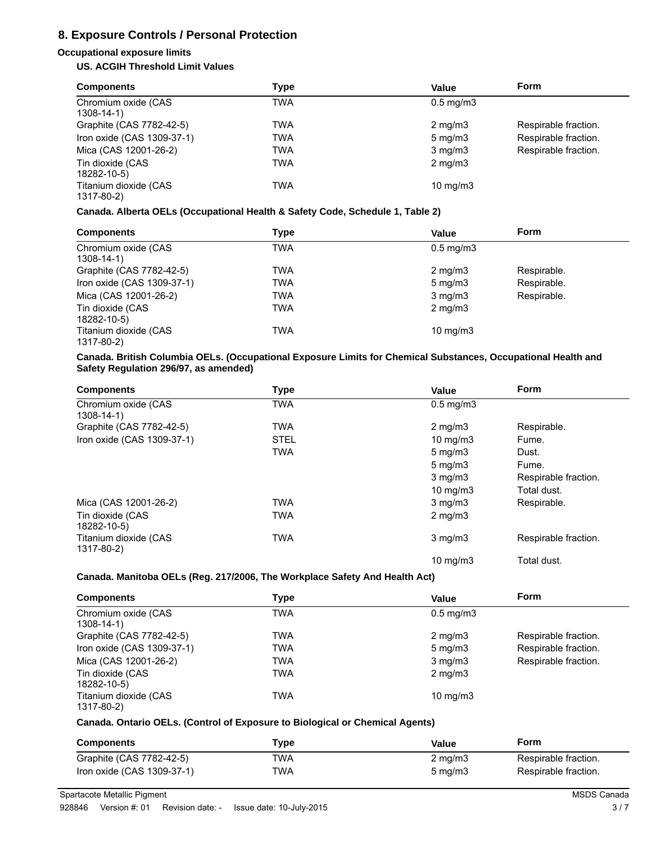# **8. Exposure Controls / Personal Protection**

### **Occupational exposure limits**

### **US. ACGIH Threshold Limit Values**

| <b>Components</b>                      | Type | Value             | <b>Form</b>          |
|----------------------------------------|------|-------------------|----------------------|
| Chromium oxide (CAS<br>$1308 - 14 - 1$ | TWA  | $0.5$ mg/m $3$    |                      |
| Graphite (CAS 7782-42-5)               | TWA  | $2 \text{ mg/m}$  | Respirable fraction. |
| Iron oxide (CAS 1309-37-1)             | TWA  | $5 \text{ mg/m}$  | Respirable fraction. |
| Mica (CAS 12001-26-2)                  | TWA  | $3$ mg/m $3$      | Respirable fraction. |
| Tin dioxide (CAS<br>18282-10-5)        | TWA  | $2 \text{ mg/m}$  |                      |
| Titanium dioxide (CAS<br>1317-80-2)    | TWA  | $10 \text{ mg/m}$ |                      |

#### **Canada. Alberta OELs (Occupational Health & Safety Code, Schedule 1, Table 2)**

| <b>Components</b>                      | Type | <b>Value</b>      | <b>Form</b> |
|----------------------------------------|------|-------------------|-------------|
| Chromium oxide (CAS<br>$1308 - 14 - 1$ | TWA  | $0.5$ mg/m $3$    |             |
| Graphite (CAS 7782-42-5)               | TWA  | $2 \text{ mg/m}$  | Respirable. |
| Iron oxide (CAS 1309-37-1)             | TWA  | $5 \text{ mg/m}$  | Respirable. |
| Mica (CAS 12001-26-2)                  | TWA  | $3$ mg/m $3$      | Respirable. |
| Tin dioxide (CAS<br>18282-10-5)        | TWA  | $2 \text{ mg/m}$  |             |
| Titanium dioxide (CAS<br>1317-80-2)    | TWA  | $10 \text{ mg/m}$ |             |

#### **Canada. British Columbia OELs. (Occupational Exposure Limits for Chemical Substances, Occupational Health and Safety Regulation 296/97, as amended)**

| <b>Components</b>                      | <b>Type</b> | <b>Value</b>         | <b>Form</b>          |
|----------------------------------------|-------------|----------------------|----------------------|
| Chromium oxide (CAS<br>$1308 - 14 - 1$ | TWA         | $0.5 \text{ mg/m}$ 3 |                      |
| Graphite (CAS 7782-42-5)               | <b>TWA</b>  | $2 \text{ mg/m}$     | Respirable.          |
| Iron oxide (CAS 1309-37-1)             | <b>STEL</b> | 10 $mg/m3$           | Fume.                |
|                                        | <b>TWA</b>  | $5 \text{ mg/m}$     | Dust.                |
|                                        |             | $5 \,\mathrm{mg/m}$  | Fume.                |
|                                        |             | $3$ mg/m $3$         | Respirable fraction. |
|                                        |             | $10 \text{ mg/m}$    | Total dust.          |
| Mica (CAS 12001-26-2)                  | <b>TWA</b>  | $3$ mg/m $3$         | Respirable.          |
| Tin dioxide (CAS<br>18282-10-5)        | <b>TWA</b>  | $2 \text{ mg/m}$     |                      |
| Titanium dioxide (CAS<br>1317-80-2)    | <b>TWA</b>  | $3$ mg/m $3$         | Respirable fraction. |
|                                        |             | $10 \text{ mg/m}$    | Total dust.          |

#### **Canada. Manitoba OELs (Reg. 217/2006, The Workplace Safety And Health Act)**

| <b>Components</b>                      | Type | Value             | <b>Form</b>          |
|----------------------------------------|------|-------------------|----------------------|
| Chromium oxide (CAS<br>$1308 - 14 - 1$ | TWA  | $0.5$ mg/m $3$    |                      |
| Graphite (CAS 7782-42-5)               | TWA  | $2 \text{ mg/m}$  | Respirable fraction. |
| Iron oxide (CAS 1309-37-1)             | TWA  | $5 \text{ mg/m}$  | Respirable fraction. |
| Mica (CAS 12001-26-2)                  | TWA  | $3$ mg/m $3$      | Respirable fraction. |
| Tin dioxide (CAS<br>18282-10-5)        | TWA  | $2 \text{ mg/m}$  |                      |
| Titanium dioxide (CAS<br>1317-80-2)    | TWA  | $10 \text{ mg/m}$ |                      |

#### **Canada. Ontario OELs. (Control of Exposure to Biological or Chemical Agents)**

| <b>Components</b>          | Tvpe | Value               | Form                 |
|----------------------------|------|---------------------|----------------------|
| Graphite (CAS 7782-42-5)   | TWA  | $2 \text{ mg/m}$    | Respirable fraction. |
| Iron oxide (CAS 1309-37-1) | TWA  | $5 \,\mathrm{mq/m}$ | Respirable fraction. |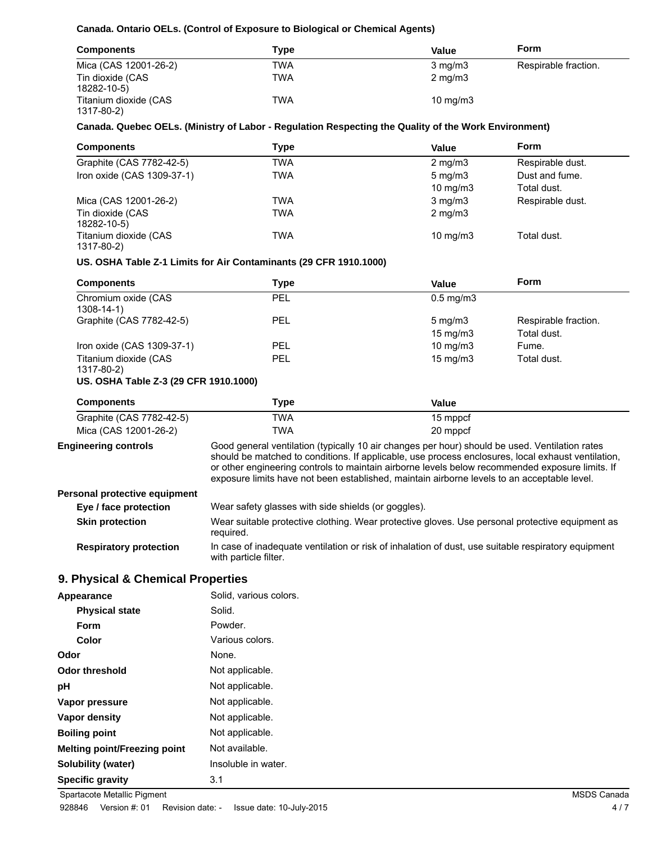### **Canada. Ontario OELs. (Control of Exposure to Biological or Chemical Agents)**

| <b>Components</b>                   | Type | Value             | Form                 |
|-------------------------------------|------|-------------------|----------------------|
| Mica (CAS 12001-26-2)               | TWA  | $3 \text{ mg/m}$  | Respirable fraction. |
| Tin dioxide (CAS<br>18282-10-5)     | TWA  | $2 \text{ mg/m}$  |                      |
| Titanium dioxide (CAS<br>1317-80-2) | TWA  | $10 \text{ mg/m}$ |                      |

#### **Canada. Quebec OELs. (Ministry of Labor - Regulation Respecting the Quality of the Work Environment)**

| <b>Components</b>                   | Type | Value             | Form             |
|-------------------------------------|------|-------------------|------------------|
| Graphite (CAS 7782-42-5)            | TWA  | $2 \text{ mg/m}$  | Respirable dust. |
| Iron oxide (CAS 1309-37-1)          | TWA  | $5 \text{ mg/m}$  | Dust and fume.   |
|                                     |      | $10 \text{ mg/m}$ | Total dust.      |
| Mica (CAS 12001-26-2)               | TWA  | $3 \text{ mg/m}$  | Respirable dust. |
| Tin dioxide (CAS<br>18282-10-5)     | TWA  | $2 \text{ mg/m}$  |                  |
| Titanium dioxide (CAS<br>1317-80-2) | TWA  | $10 \text{ mg/m}$ | Total dust.      |

#### **US. OSHA Table Z-1 Limits for Air Contaminants (29 CFR 1910.1000)**

| <b>Components</b>                   | Type | Value                | <b>Form</b>          |
|-------------------------------------|------|----------------------|----------------------|
| Chromium oxide (CAS<br>1308-14-1)   | PEL  | $0.5 \text{ mg/m}$ 3 |                      |
| Graphite (CAS 7782-42-5)            | PEL  | $5 \,\mathrm{mg/m}$  | Respirable fraction. |
|                                     |      | $15 \text{ mg/m}$    | Total dust.          |
| Iron oxide (CAS 1309-37-1)          | PEL  | $10 \text{ mg/m}$    | Fume.                |
| Titanium dioxide (CAS<br>1317-80-2) | PEL  | $15 \text{ mg/m}$    | Total dust.          |

### **US. OSHA Table Z-3 (29 CFR 1910.1000)**

| <b>Components</b>        | Type | Value    |  |
|--------------------------|------|----------|--|
| Graphite (CAS 7782-42-5) | TWA  | 15 mppcf |  |
| Mica (CAS 12001-26-2)    | TWA  | 20 mppcf |  |

# **Engineering controls**

Good general ventilation (typically 10 air changes per hour) should be used. Ventilation rates should be matched to conditions. If applicable, use process enclosures, local exhaust ventilation, or other engineering controls to maintain airborne levels below recommended exposure limits. If exposure limits have not been established, maintain airborne levels to an acceptable level.

#### **Personal protective equipment**

| Eye / face protection         | Wear safety glasses with side shields (or goggles).                                                                          |
|-------------------------------|------------------------------------------------------------------------------------------------------------------------------|
| <b>Skin protection</b>        | Wear suitable protective clothing. Wear protective gloves. Use personal protective equipment as<br>required.                 |
| <b>Respiratory protection</b> | In case of inadequate ventilation or risk of inhalation of dust, use suitable respiratory equipment<br>with particle filter. |

### **9. Physical & Chemical Properties**

| Appearance                   | Solid, various colors. |
|------------------------------|------------------------|
| <b>Physical state</b>        | Solid.                 |
| Form                         | Powder.                |
| Color                        | Various colors.        |
| Odor                         | None.                  |
| <b>Odor threshold</b>        | Not applicable.        |
| рH                           | Not applicable.        |
| Vapor pressure               | Not applicable.        |
| Vapor density                | Not applicable.        |
| <b>Boiling point</b>         | Not applicable.        |
| Melting point/Freezing point | Not available.         |
| Solubility (water)           | Insoluble in water.    |
| <b>Specific gravity</b>      | 3.1                    |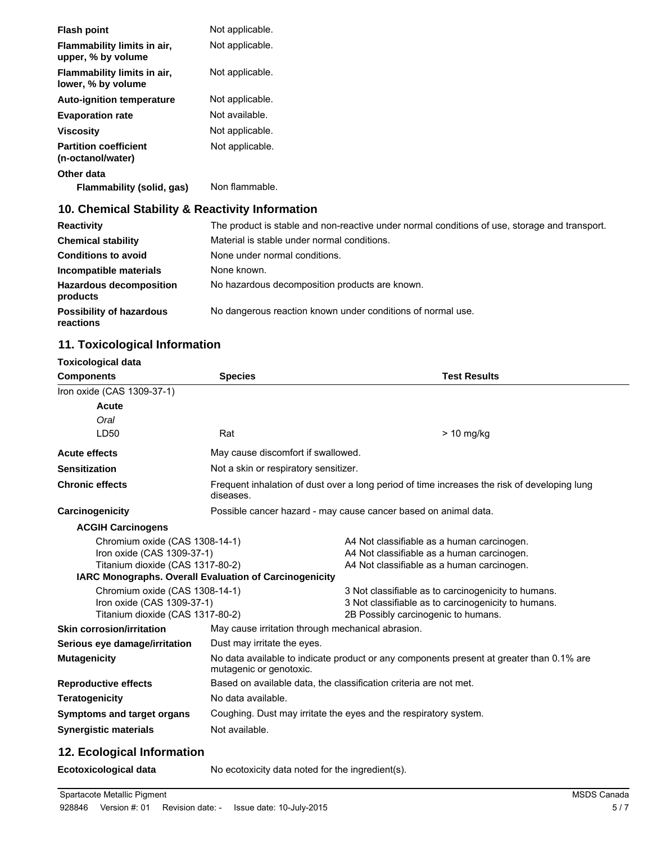| <b>Flash point</b>                                | Not applicable. |
|---------------------------------------------------|-----------------|
| Flammability limits in air,<br>upper, % by volume | Not applicable. |
| Flammability limits in air,<br>lower, % by volume | Not applicable. |
| <b>Auto-ignition temperature</b>                  | Not applicable. |
| <b>Evaporation rate</b>                           | Not available.  |
| Viscosity                                         | Not applicable. |
| <b>Partition coefficient</b><br>(n-octanol/water) | Not applicable. |
| Other data<br>Flammability (solid, gas)           | Non flammable.  |

# **10. Chemical Stability & Reactivity Information**

| <b>Reactivity</b>                            | The product is stable and non-reactive under normal conditions of use, storage and transport. |
|----------------------------------------------|-----------------------------------------------------------------------------------------------|
| <b>Chemical stability</b>                    | Material is stable under normal conditions.                                                   |
| <b>Conditions to avoid</b>                   | None under normal conditions.                                                                 |
| Incompatible materials                       | None known.                                                                                   |
| <b>Hazardous decomposition</b><br>products   | No hazardous decomposition products are known.                                                |
| <b>Possibility of hazardous</b><br>reactions | No dangerous reaction known under conditions of normal use.                                   |

# **11. Toxicological Information**

| <b>Toxicological data</b>        |                                                                                                                     |                                                                                              |  |
|----------------------------------|---------------------------------------------------------------------------------------------------------------------|----------------------------------------------------------------------------------------------|--|
| <b>Components</b>                | <b>Species</b>                                                                                                      | <b>Test Results</b>                                                                          |  |
| Iron oxide (CAS 1309-37-1)       |                                                                                                                     |                                                                                              |  |
| Acute                            |                                                                                                                     |                                                                                              |  |
| Oral                             |                                                                                                                     |                                                                                              |  |
| LD50                             | Rat                                                                                                                 | > 10 mg/kg                                                                                   |  |
| <b>Acute effects</b>             | May cause discomfort if swallowed.                                                                                  |                                                                                              |  |
| <b>Sensitization</b>             | Not a skin or respiratory sensitizer.                                                                               |                                                                                              |  |
| <b>Chronic effects</b>           | diseases.                                                                                                           | Frequent inhalation of dust over a long period of time increases the risk of developing lung |  |
| Carcinogenicity                  |                                                                                                                     | Possible cancer hazard - may cause cancer based on animal data.                              |  |
| <b>ACGIH Carcinogens</b>         |                                                                                                                     |                                                                                              |  |
| Chromium oxide (CAS 1308-14-1)   |                                                                                                                     | A4 Not classifiable as a human carcinogen.                                                   |  |
|                                  | Iron oxide (CAS 1309-37-1)<br>A4 Not classifiable as a human carcinogen.                                            |                                                                                              |  |
| Titanium dioxide (CAS 1317-80-2) | A4 Not classifiable as a human carcinogen.                                                                          |                                                                                              |  |
|                                  | IARC Monographs. Overall Evaluation of Carcinogenicity                                                              |                                                                                              |  |
| Chromium oxide (CAS 1308-14-1)   |                                                                                                                     | 3 Not classifiable as to carcinogenicity to humans.                                          |  |
| Iron oxide (CAS 1309-37-1)       |                                                                                                                     | 3 Not classifiable as to carcinogenicity to humans.                                          |  |
| Titanium dioxide (CAS 1317-80-2) |                                                                                                                     | 2B Possibly carcinogenic to humans.                                                          |  |
| <b>Skin corrosion/irritation</b> | May cause irritation through mechanical abrasion.                                                                   |                                                                                              |  |
| Serious eye damage/irritation    | Dust may irritate the eyes.                                                                                         |                                                                                              |  |
| <b>Mutagenicity</b>              | No data available to indicate product or any components present at greater than 0.1% are<br>mutagenic or genotoxic. |                                                                                              |  |
| <b>Reproductive effects</b>      |                                                                                                                     | Based on available data, the classification criteria are not met.                            |  |
| <b>Teratogenicity</b>            | No data available.                                                                                                  |                                                                                              |  |
| Symptoms and target organs       |                                                                                                                     | Coughing. Dust may irritate the eyes and the respiratory system.                             |  |
| <b>Synergistic materials</b>     | Not available.                                                                                                      |                                                                                              |  |
| .                                |                                                                                                                     |                                                                                              |  |

# **12. Ecological Information**

**Ecotoxicological data** No ecotoxicity data noted for the ingredient(s).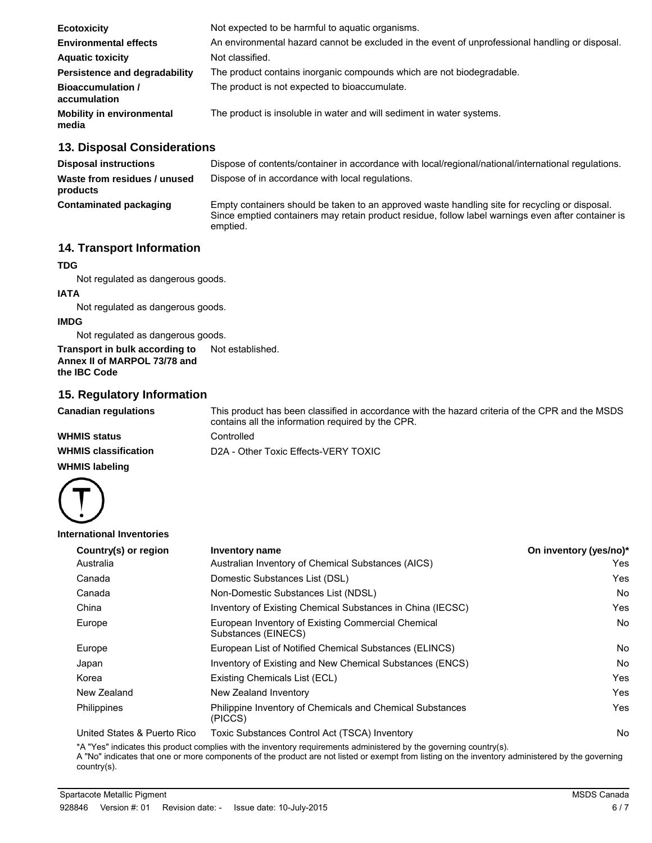| Not expected to be harmful to aquatic organisms.                                                |
|-------------------------------------------------------------------------------------------------|
| An environmental hazard cannot be excluded in the event of unprofessional handling or disposal. |
| Not classified.                                                                                 |
| The product contains inorganic compounds which are not biodegradable.                           |
| The product is not expected to bioaccumulate.                                                   |
| The product is insoluble in water and will sediment in water systems.                           |
|                                                                                                 |

# **13. Disposal Considerations**

| <b>Disposal instructions</b>             | Dispose of contents/container in accordance with local/regional/national/international regulations.                                                                                                              |
|------------------------------------------|------------------------------------------------------------------------------------------------------------------------------------------------------------------------------------------------------------------|
| Waste from residues / unused<br>products | Dispose of in accordance with local regulations.                                                                                                                                                                 |
| <b>Contaminated packaging</b>            | Empty containers should be taken to an approved waste handling site for recycling or disposal.<br>Since emptied containers may retain product residue, follow label warnings even after container is<br>emptied. |

## **14. Transport Information**

### **TDG**

Not regulated as dangerous goods.

### **IATA**

Not regulated as dangerous goods.

### **IMDG**

Not regulated as dangerous goods.

**Transport in bulk according to** Not established. **Annex II of MARPOL 73/78 and the IBC Code**

### **15. Regulatory Information**

| <b>Canadian regulations</b> | This product has been classified in accordance with the hazard criteria of the CPR and the MSDS<br>contains all the information required by the CPR. |
|-----------------------------|------------------------------------------------------------------------------------------------------------------------------------------------------|
| <b>WHMIS status</b>         | Controlled                                                                                                                                           |
| <b>WHMIS classification</b> | D2A - Other Toxic Effects-VERY TOXIC                                                                                                                 |

### **WHMIS labeling**



**International Inventories**

| Country(s) or region | Inventory name                                                            | On inventory (yes/no)* |
|----------------------|---------------------------------------------------------------------------|------------------------|
| Australia            | Australian Inventory of Chemical Substances (AICS)                        | Yes                    |
| Canada               | Domestic Substances List (DSL)                                            | Yes                    |
| Canada               | Non-Domestic Substances List (NDSL)                                       | <b>No</b>              |
| China                | Inventory of Existing Chemical Substances in China (IECSC)                | Yes                    |
| Europe               | European Inventory of Existing Commercial Chemical<br>Substances (EINECS) | <b>No</b>              |
| Europe               | European List of Notified Chemical Substances (ELINCS)                    | <b>No</b>              |
| Japan                | Inventory of Existing and New Chemical Substances (ENCS)                  | No                     |
| Korea                | Existing Chemicals List (ECL)                                             | Yes                    |
| New Zealand          | New Zealand Inventory                                                     | Yes                    |
| Philippines          | Philippine Inventory of Chemicals and Chemical Substances<br>(PICCS)      | Yes                    |

United States & Puerto Rico Toxic Substances Control Act (TSCA) Inventory No No

\*A "Yes" indicates this product complies with the inventory requirements administered by the governing country(s).

A "No" indicates that one or more components of the product are not listed or exempt from listing on the inventory administered by the governing country(s).